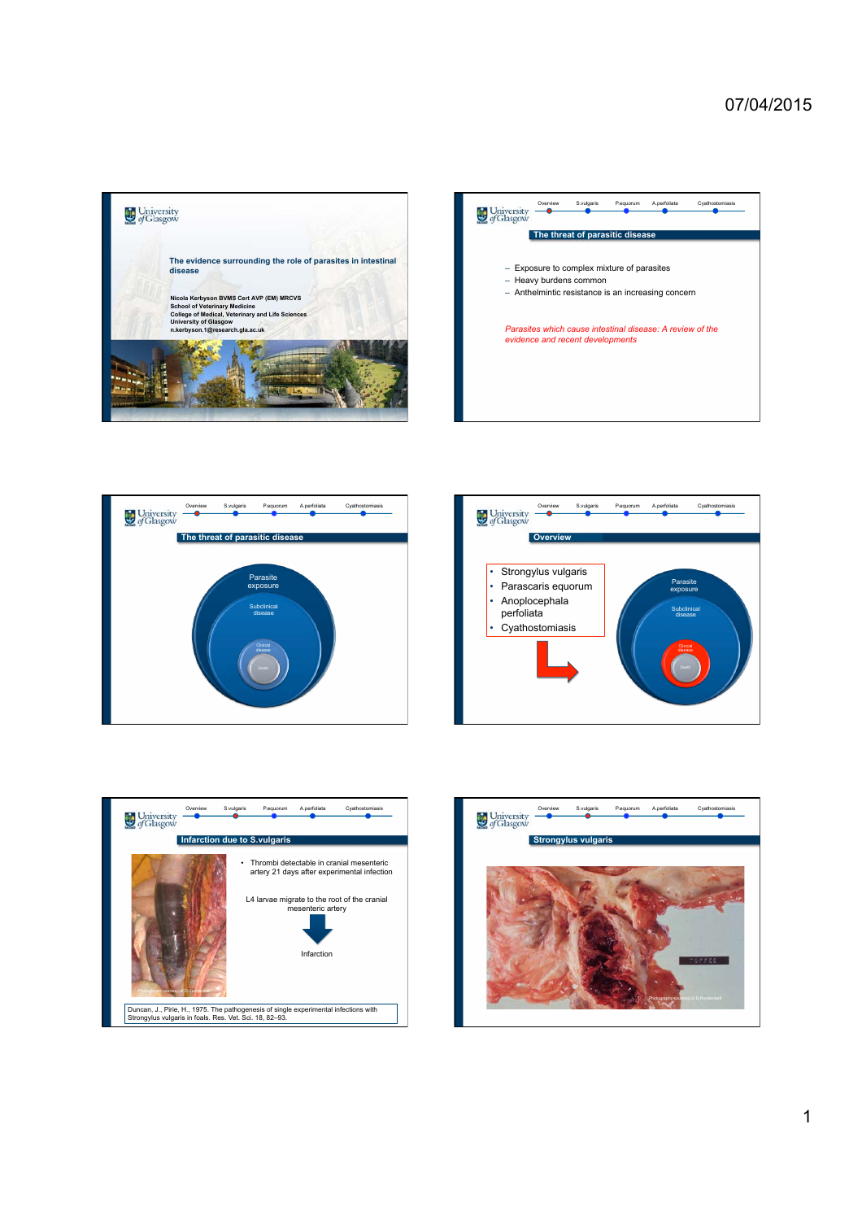









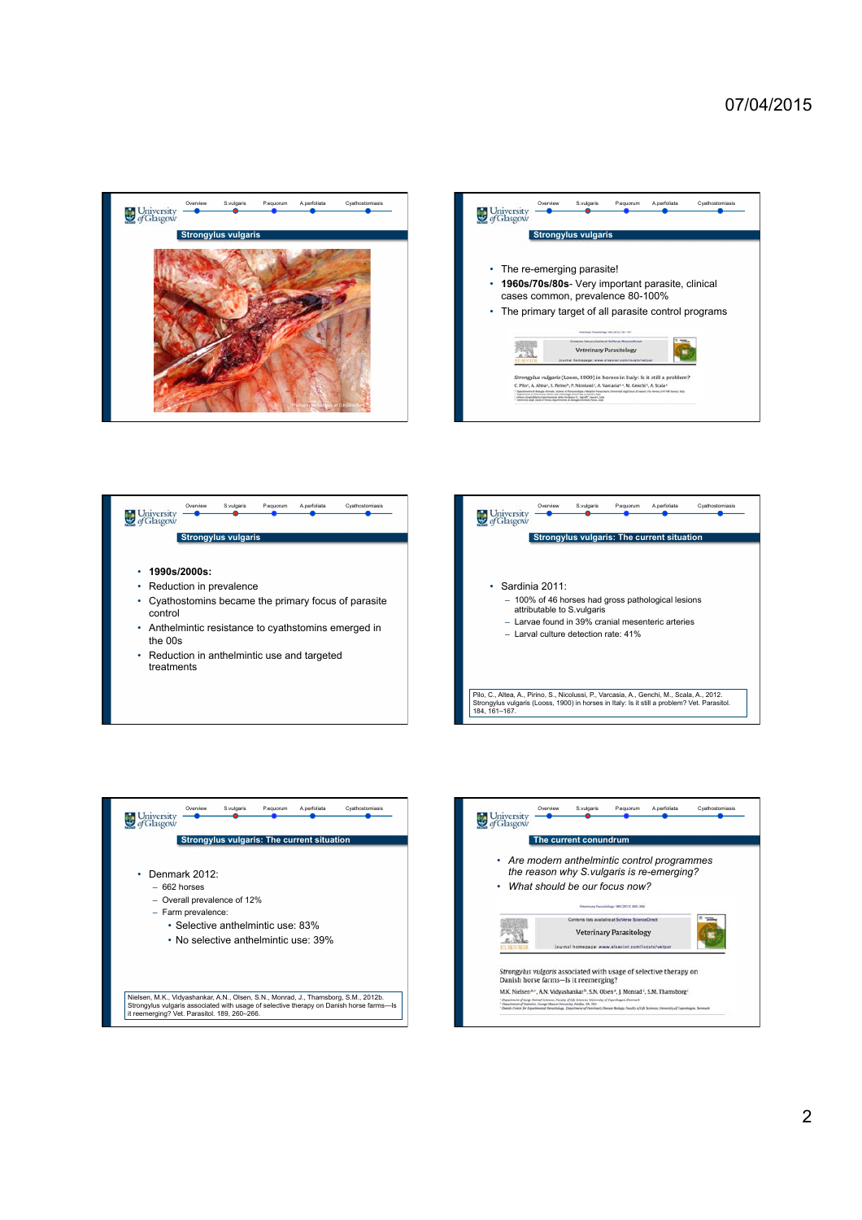







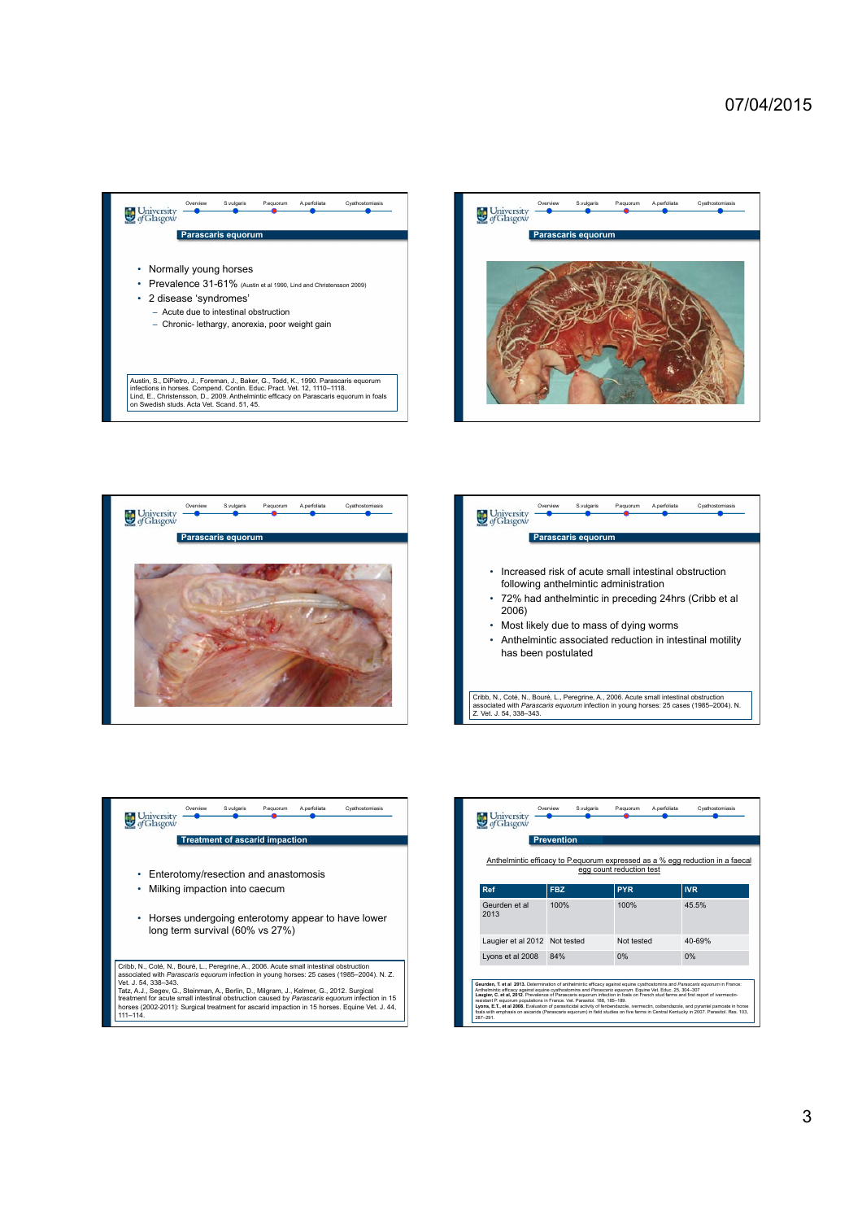









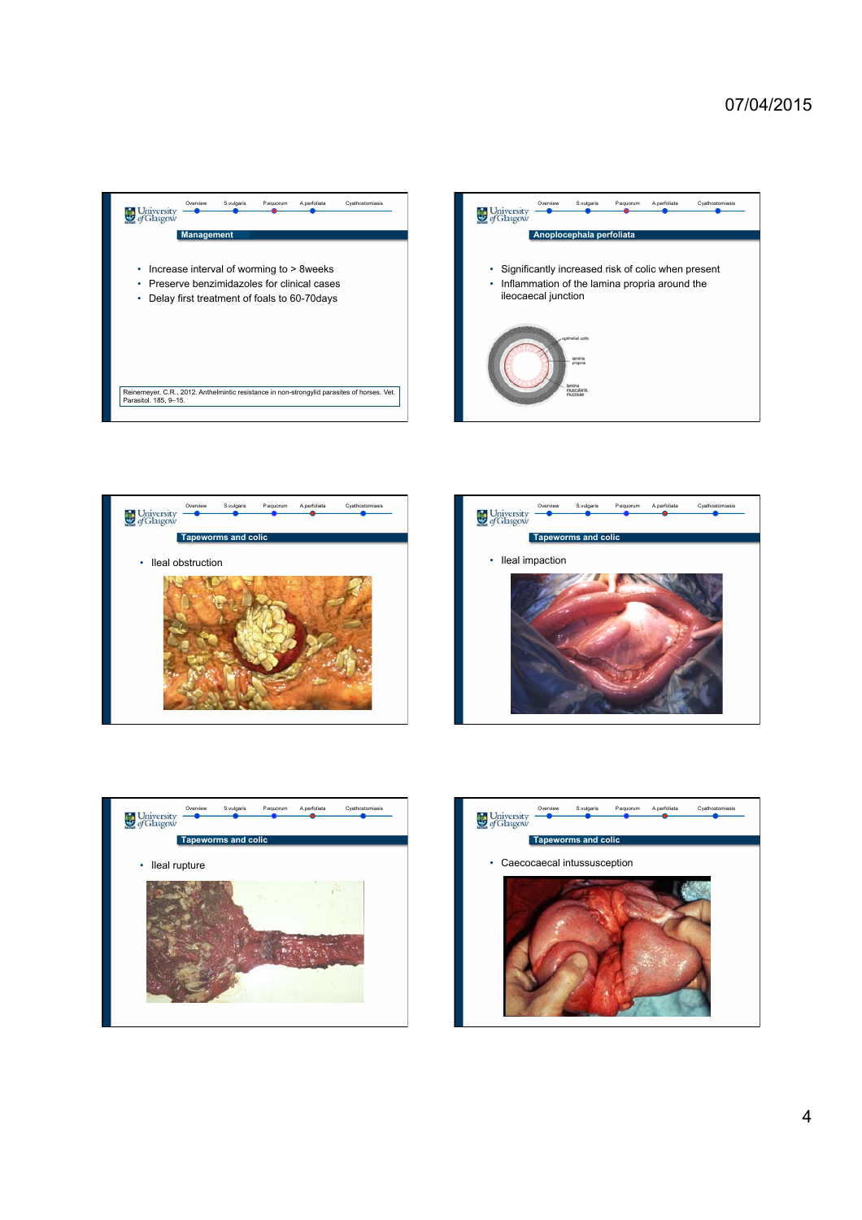## 07/04/2015











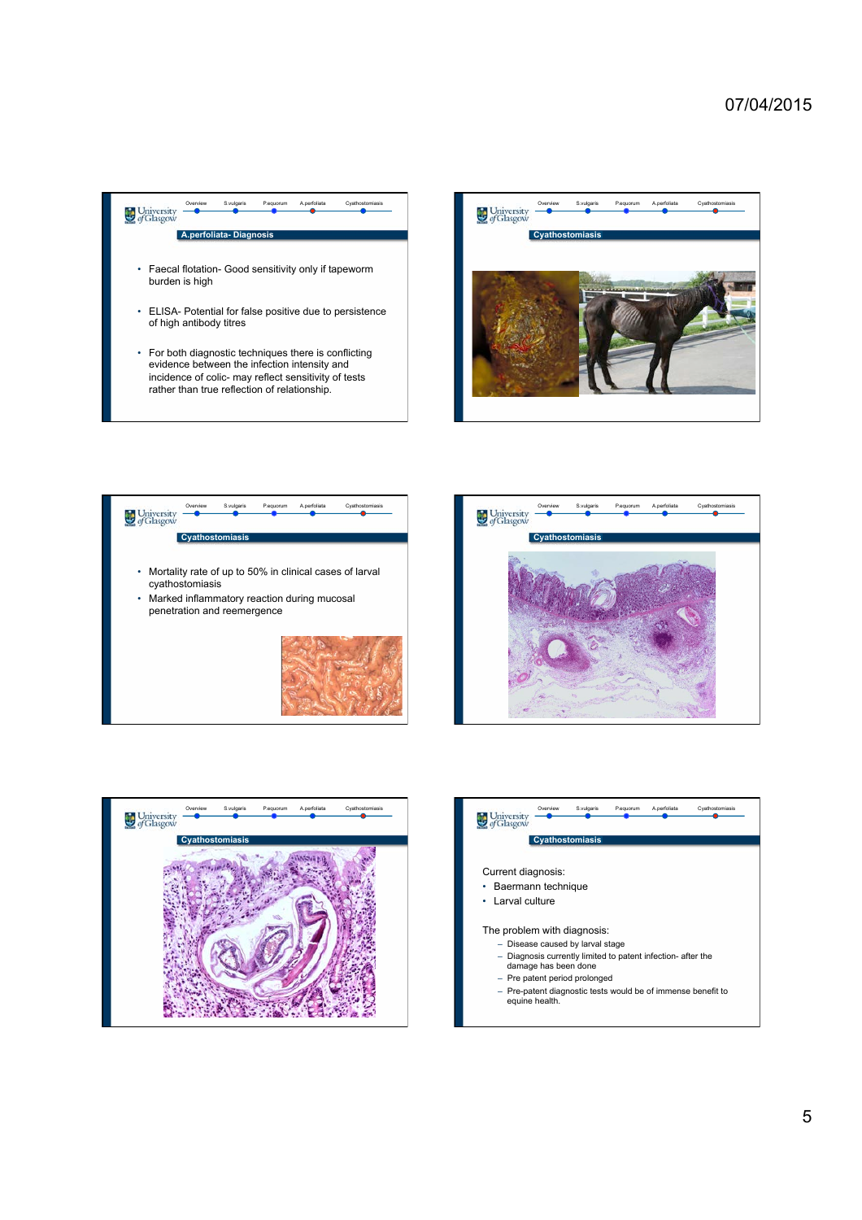